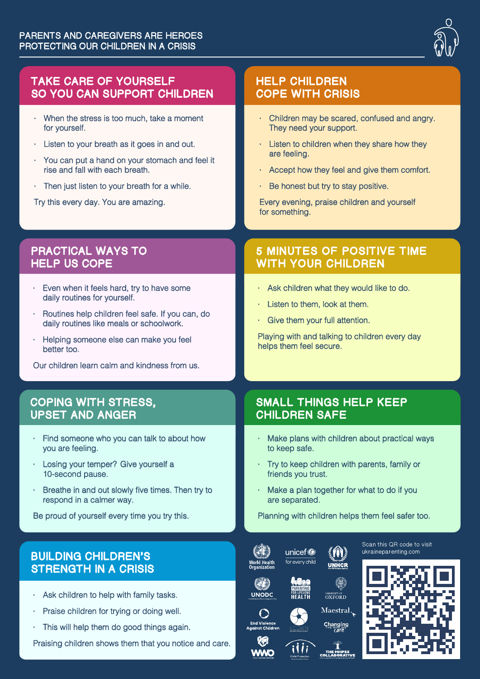

## TAKE CARE OF YOURSELF SO YOU CAN SUPPORT CHILDREN

- · When the stress is too much, take a moment for yourself.
- Listen to your breath as it goes in and out.
- · You can put a hand on your stomach and feel it rise and fall with each breath.
- · Then just listen to your breath for a while.

Try this every day. You are amazing.

## PRACTICAL WAYS TO HELP US COPE

- Even when it feels hard, try to have some daily routines for yourself.
- Routines help children feel safe. If you can, do daily routines like meals or schoolwork.
- · Helping someone else can make you feel better too.

Our children learn calm and kindness from us.

### COPING WITH STRESS, UPSET AND ANGER

- · Find someone who you can talk to about how you are feeling.
- · Losing your temper? Give yourself a 10-second pause.
- · Breathe in and out slowly five times. Then try to respond in a calmer way.

Be proud of yourself every time you try this.

# BUILDING CHILDREN'S STRENGTH IN A CRISIS

- · Ask children to help with family tasks.
- Praise children for trying or doing well.
- · This will help them do good things again.

Praising children shows them that you notice and care.

# HELP CHILDREN COPE WITH CRISIS

- · Children may be scared, confused and angry. They need your support.
- · Listen to children when they share how they are feeling.
- · Accept how they feel and give them comfort.
- Be honest but try to stay positive.

Every evening, praise children and yourself for something.

# 5 MINUTES OF POSITIVE TIME WITH YOUR CHILDREN

- · Ask children what they would like to do.
- Listen to them, look at them.
- · Give them your full attention.

Playing with and talking to children every day helps them feel secure.

# SMALL THINGS HELP KEEP CHILDREN SAFE

- Make plans with children about practical ways to keep safe.
- · Try to keep children with parents, family or friends you trust.
- · Make a plan together for what to do if you are separated.

**UNHCR** 

6)

UNIVERSITY OF<br>OXFORD Maestral.

Planning with children helps them feel safer too.













unicef®